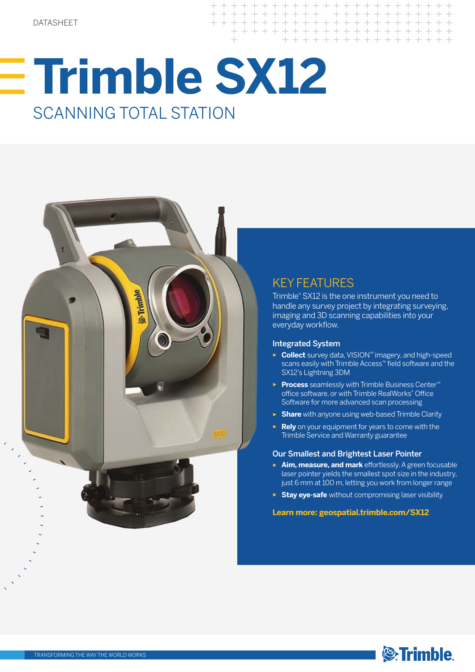# **Trimble SX12** SCANNING TOTAL STATION



### KEY FEATURES

 $+ + + + + +$ 

 $+ + +$ 

 $+$ 

Trimble® SX12 is the one instrument you need to handle any survey project by integrating surveying, imaging and 3D scanning capabilities into your everyday workflow.

+ + + + + + + + + +

 $\pm$ 

 $+$ 

+ + + + + + + + + + + + + + + + + + + +

+ + + + + + + + + + + + + + + +

+ + + + + + + + + + + + + +

#### Integrated System

- ► **Collect** survey data, VISION™ imagery, and high-speed scans easily with Trimble Access™ field software and the SX12's Lightning 3DM
- ► **Process** seamlessly with Trimble Business Center™ office software, or with Trimble RealWorks® Office Software for more advanced scan processing
- ► **Share** with anyone using web-based Trimble Clarity
- ► **Rely** on your equipment for years to come with the Trimble Service and Warranty guarantee

#### Our Smallest and Brightest Laser Pointer

- ► **Aim, measure, and mark** effortlessly. A green focusable laser pointer yields the smallest spot size in the industry, just 6 mm at 100 m, letting you work from longer range
- ► **Stay eye-safe** without compromising laser visibility

#### **Learn more: geospatial.trimble.com/SX12**

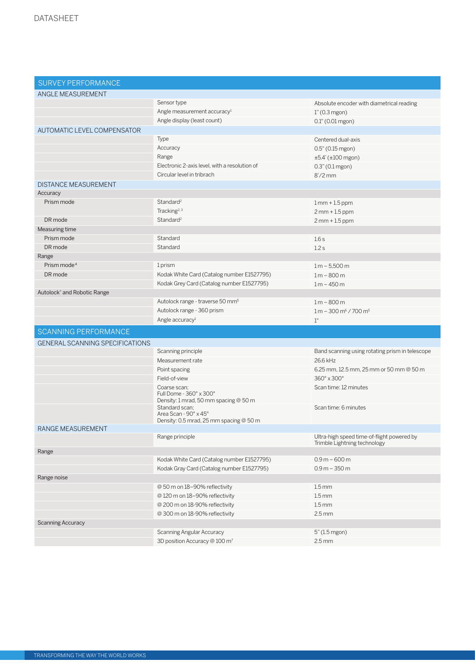| <b>SURVEY PERFORMANCE</b>              |                                                                                  |                                                                            |
|----------------------------------------|----------------------------------------------------------------------------------|----------------------------------------------------------------------------|
| ANGLE MEASUREMENT                      |                                                                                  |                                                                            |
|                                        | Sensor type                                                                      | Absolute encoder with diametrical reading                                  |
|                                        | Angle measurement accuracy <sup>1</sup>                                          | $1"$ (0.3 mgon)                                                            |
|                                        | Angle display (least count)                                                      | 0.1" (0.01 mgon)                                                           |
| AUTOMATIC LEVEL COMPENSATOR            |                                                                                  |                                                                            |
|                                        | Type                                                                             | Centered dual-axis                                                         |
|                                        | Accuracy                                                                         | 0.5" (0.15 mgon)                                                           |
|                                        | Range                                                                            | ±5.4' (±100 mgon)                                                          |
|                                        | Electronic 2-axis level, with a resolution of                                    | $0.3" (0.1$ mgon)                                                          |
|                                        | Circular level in tribrach                                                       | $8'/2$ mm                                                                  |
| <b>DISTANCE MEASUREMENT</b>            |                                                                                  |                                                                            |
| Accuracy                               |                                                                                  |                                                                            |
| Prism mode                             | Standard <sup>2</sup>                                                            | $1mm + 1.5 ppm$                                                            |
|                                        | Tracking <sup>2, 3</sup>                                                         | $2mm + 1.5 ppm$                                                            |
| DR mode                                | Standard <sup>2</sup>                                                            | $2mm + 1.5 ppm$                                                            |
| Measuring time                         |                                                                                  |                                                                            |
| Prism mode                             | Standard                                                                         | 1.6s                                                                       |
| DR mode                                | Standard                                                                         | 1.2s                                                                       |
| Range                                  |                                                                                  |                                                                            |
| Prism mode <sup>4</sup>                | 1 prism                                                                          | $1 m - 5,500 m$                                                            |
| DR mode                                | Kodak White Card (Catalog number E1527795)                                       | $1 m - 800 m$                                                              |
|                                        | Kodak Grey Card (Catalog number E1527795)                                        | $1 m - 450 m$                                                              |
| Autolock® and Robotic Range            |                                                                                  |                                                                            |
|                                        | Autolock range - traverse 50 mm <sup>5</sup>                                     | $1m - 800m$                                                                |
|                                        | Autolock range - 360 prism                                                       | $1 m - 300 m6 / 700 m5$                                                    |
|                                        |                                                                                  |                                                                            |
|                                        | Angle accuracy <sup>1</sup>                                                      | 1"                                                                         |
| SCANNING PERFORMANCE                   |                                                                                  |                                                                            |
| <b>GENERAL SCANNING SPECIFICATIONS</b> |                                                                                  |                                                                            |
|                                        | Scanning principle                                                               | Band scanning using rotating prism in telescope                            |
|                                        | Measurement rate                                                                 | 26.6 kHz                                                                   |
|                                        | Point spacing                                                                    | 6.25 mm, 12.5 mm, 25 mm or 50 mm @ 50 m                                    |
|                                        | Field-of-view                                                                    | 360° x 300°                                                                |
|                                        | Coarse scan:<br>Full Dome - 360° x 300°                                          | Scan time: 12 minutes                                                      |
|                                        | Density: 1 mrad, 50 mm spacing @ 50 m<br>Standard scan:<br>Area Scan - 90° x 45° | Scan time: 6 minutes                                                       |
|                                        | Density: 0.5 mrad, 25 mm spacing @ 50 m                                          |                                                                            |
| <b>RANGE MEASUREMENT</b>               | Range principle                                                                  | Ultra-high speed time-of-flight powered by<br>Trimble Lightning technology |
| Range                                  |                                                                                  |                                                                            |
|                                        | Kodak White Card (Catalog number E1527795)                                       | $0.9 m - 600 m$                                                            |
|                                        | Kodak Gray Card (Catalog number E1527795)                                        | $0.9 m - 350 m$                                                            |
| Range noise                            |                                                                                  |                                                                            |
|                                        | @ 50 m on 18-90% reflectivity                                                    | $1.5 \, \text{mm}$                                                         |
|                                        | @ 120 m on 18-90% reflectivity                                                   | 1.5 <sub>mm</sub>                                                          |
|                                        | @ 200 m on 18-90% reflectivity                                                   | $1.5 \, \text{mm}$                                                         |
|                                        | @ 300 m on 18-90% reflectivity                                                   | $2.5 \, \text{mm}$                                                         |
| <b>Scanning Accuracy</b>               |                                                                                  |                                                                            |
|                                        | <b>Scanning Angular Accuracy</b><br>3D position Accuracy @ 100 m <sup>7</sup>    | 5" (1.5 mgon)<br>$2.5 \, \text{mm}$                                        |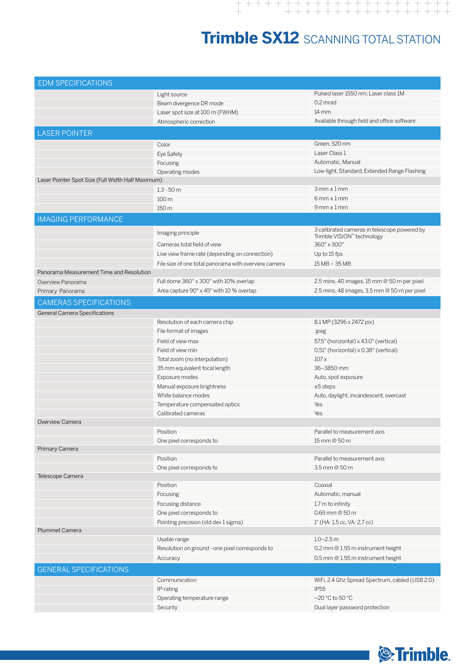## **Trimble SX12** SCANNING TOTAL STATION

| <b>EDM SPECIFICATIONS</b>                         |                                                      |                                                 |  |
|---------------------------------------------------|------------------------------------------------------|-------------------------------------------------|--|
|                                                   | Light source                                         | Pulsed laser 1550 nm; Laser class 1M            |  |
|                                                   | Beam divergence DR mode                              | $0.2$ mrad                                      |  |
|                                                   | Laser spot size at 100 m (FWHM)                      | $14 \, \mathrm{mm}$                             |  |
|                                                   | Atmospheric correction                               | Available through field and office software     |  |
| <b>LASER POINTER</b>                              |                                                      |                                                 |  |
|                                                   |                                                      |                                                 |  |
|                                                   | Color                                                | Green, 520 nm                                   |  |
|                                                   | Eye Safety                                           | Laser Class 1                                   |  |
|                                                   | Focusing                                             | Automatic, Manual                               |  |
|                                                   | Operating modes                                      | Low-light, Standard, Extended Range Flashing    |  |
| Laser Pointer Spot Size (Full Width Half Maximum) |                                                      |                                                 |  |
|                                                   | $1.3 - 50$ m                                         | $3mm \pm 1mm$                                   |  |
|                                                   | 100 m                                                | $6mm \pm 1mm$                                   |  |
|                                                   | 150 m                                                | $9mm \pm 1mm$                                   |  |
| <b>IMAGING PERFORMANCE</b>                        |                                                      |                                                 |  |
|                                                   | Imaging principle                                    | 3 calibrated cameras in telescope powered by    |  |
|                                                   |                                                      | Trimble VISION™ technology                      |  |
|                                                   | Cameras total field of view                          | 360° x 300°                                     |  |
|                                                   | Live view frame rate (depending on connection)       | Up to 15 fps                                    |  |
|                                                   | File size of one total panorama with overview camera | 15 MB - 35 MB                                   |  |
| Panorama Measurement Time and Resolution          |                                                      |                                                 |  |
| Overview Panorama                                 | Full dome 360° x 300° with 10% overlap               | 2.5 mins, 40 images, 15 mm @ 50 m per pixel     |  |
| Primary Panorama                                  | Area capture 90° x 45° with 10 % overlap             | 2.5 mins, 48 images, 3.5 mm @ 50 m per pixel    |  |
| <b>CAMERAS SPECIFICATIONS</b>                     |                                                      |                                                 |  |
| <b>General Camera Specifications</b>              |                                                      |                                                 |  |
|                                                   | Resolution of each camera chip                       | 8.1 MP (3296 x 2472 pix)                        |  |
|                                                   | File format of images                                | .jpeg                                           |  |
|                                                   | Field of view max                                    | 57.5° (horizontal) x 43.0° (vertical)           |  |
|                                                   | Field of view min                                    | 0.51° (horizontal) x 0.38° (vertical)           |  |
|                                                   | Total zoom (no interpolation)                        | 107x                                            |  |
|                                                   | 35 mm equivalent focal length                        | 36-3850 mm                                      |  |
|                                                   | Exposure modes                                       | Auto, spot exposure                             |  |
|                                                   | Manual exposure brightness                           | $±5$ steps                                      |  |
|                                                   | White balance modes                                  | Auto, daylight, incandescent, overcast          |  |
|                                                   | Temperature compensated optics                       | Yes                                             |  |
|                                                   | Calibrated cameras                                   | Yes                                             |  |
| Overview Camera                                   |                                                      |                                                 |  |
|                                                   | Position                                             | Parallel to measurement axis                    |  |
|                                                   | One pixel corresponds to                             | 15 mm @ 50 m                                    |  |
| Primary Camera                                    |                                                      |                                                 |  |
|                                                   | Position                                             | Parallel to measurement axis                    |  |
|                                                   | One pixel corresponds to                             | 3.5 mm @ 50 m                                   |  |
| Telescope Camera                                  |                                                      |                                                 |  |
|                                                   | Position                                             | Coaxial                                         |  |
|                                                   | Focusing                                             | Automatic, manual                               |  |
|                                                   | Focusing distance                                    | 1.7 m to infinity                               |  |
|                                                   | One pixel corresponds to                             | $0.69$ mm @ 50 m                                |  |
|                                                   | Pointing precision (std dev 1 sigma)                 | 1" (HA: 1,5 cc, VA: 2,7 cc)                     |  |
| <b>Plummet Camera</b>                             |                                                      |                                                 |  |
|                                                   | Usable range                                         | $1.0 - 2.5$ m                                   |  |
|                                                   | Resolution on ground - one pixel corresponds to      | 0.2 mm @ 1.55 m instrument height               |  |
|                                                   | Accuracy                                             | 0.5 mm @ 1.55 m instrument height               |  |
| <b>GENERAL SPECIFICATIONS</b>                     |                                                      |                                                 |  |
|                                                   |                                                      |                                                 |  |
|                                                   | Communication                                        | WiFi, 2.4 Ghz Spread Spectrum, cabled (USB 2.0) |  |
|                                                   | IP-rating                                            | <b>IP55</b>                                     |  |
|                                                   | Operating temperature range                          | $-20$ °C to 50 °C                               |  |
|                                                   | Security                                             | Dual layer password protection                  |  |